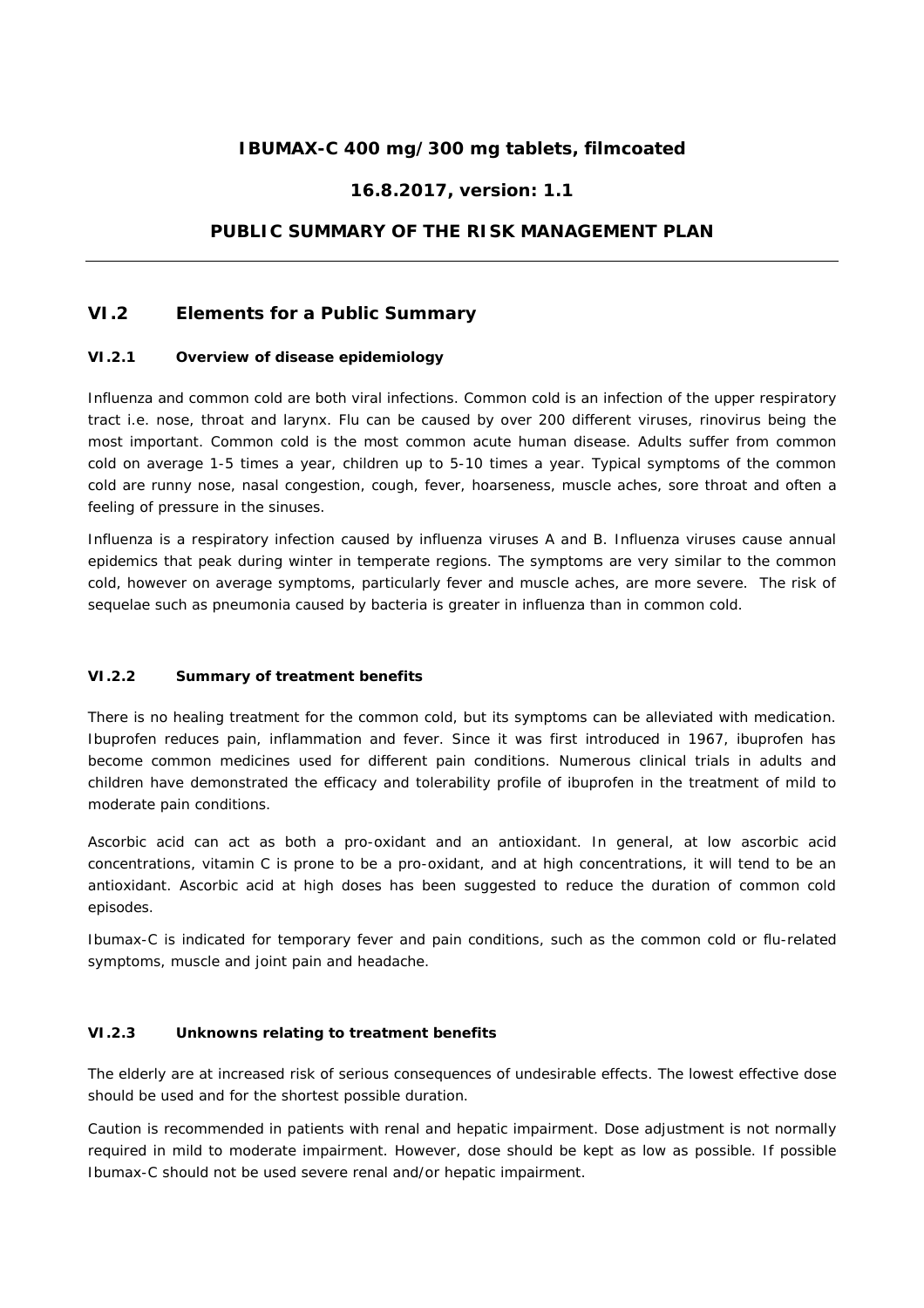# **IBUMAX-C 400 mg/300 mg tablets, filmcoated**

## **16.8.2017, version: 1.1**

## **PUBLIC SUMMARY OF THE RISK MANAGEMENT PLAN**

## **VI.2 Elements for a Public Summary**

#### **VI.2.1 Overview of disease epidemiology**

Influenza and common cold are both viral infections. Common cold is an infection of the upper respiratory tract i.e. nose, throat and larynx. Flu can be caused by over 200 different viruses, rinovirus being the most important. Common cold is the most common acute human disease. Adults suffer from common cold on average 1-5 times a year, children up to 5-10 times a year. Typical symptoms of the common cold are runny nose, nasal congestion, cough, fever, hoarseness, muscle aches, sore throat and often a feeling of pressure in the sinuses.

Influenza is a respiratory infection caused by influenza viruses A and B. Influenza viruses cause annual epidemics that peak during winter in temperate regions. The symptoms are very similar to the common cold, however on average symptoms, particularly fever and muscle aches, are more severe. The risk of sequelae such as pneumonia caused by bacteria is greater in influenza than in common cold.

### **VI.2.2 Summary of treatment benefits**

There is no healing treatment for the common cold, but its symptoms can be alleviated with medication. Ibuprofen reduces pain, inflammation and fever. Since it was first introduced in 1967, ibuprofen has become common medicines used for different pain conditions. Numerous clinical trials in adults and children have demonstrated the efficacy and tolerability profile of ibuprofen in the treatment of mild to moderate pain conditions.

Ascorbic acid can act as both a pro-oxidant and an antioxidant. In general, at low ascorbic acid concentrations, vitamin C is prone to be a pro-oxidant, and at high concentrations, it will tend to be an antioxidant. Ascorbic acid at high doses has been suggested to reduce the duration of common cold episodes.

Ibumax-C is indicated for temporary fever and pain conditions, such as the common cold or flu-related symptoms, muscle and joint pain and headache.

### **VI.2.3 Unknowns relating to treatment benefits**

The elderly are at increased risk of serious consequences of undesirable effects. The lowest effective dose should be used and for the shortest possible duration.

Caution is recommended in patients with renal and hepatic impairment. Dose adjustment is not normally required in mild to moderate impairment. However, dose should be kept as low as possible. If possible Ibumax-C should not be used severe renal and/or hepatic impairment.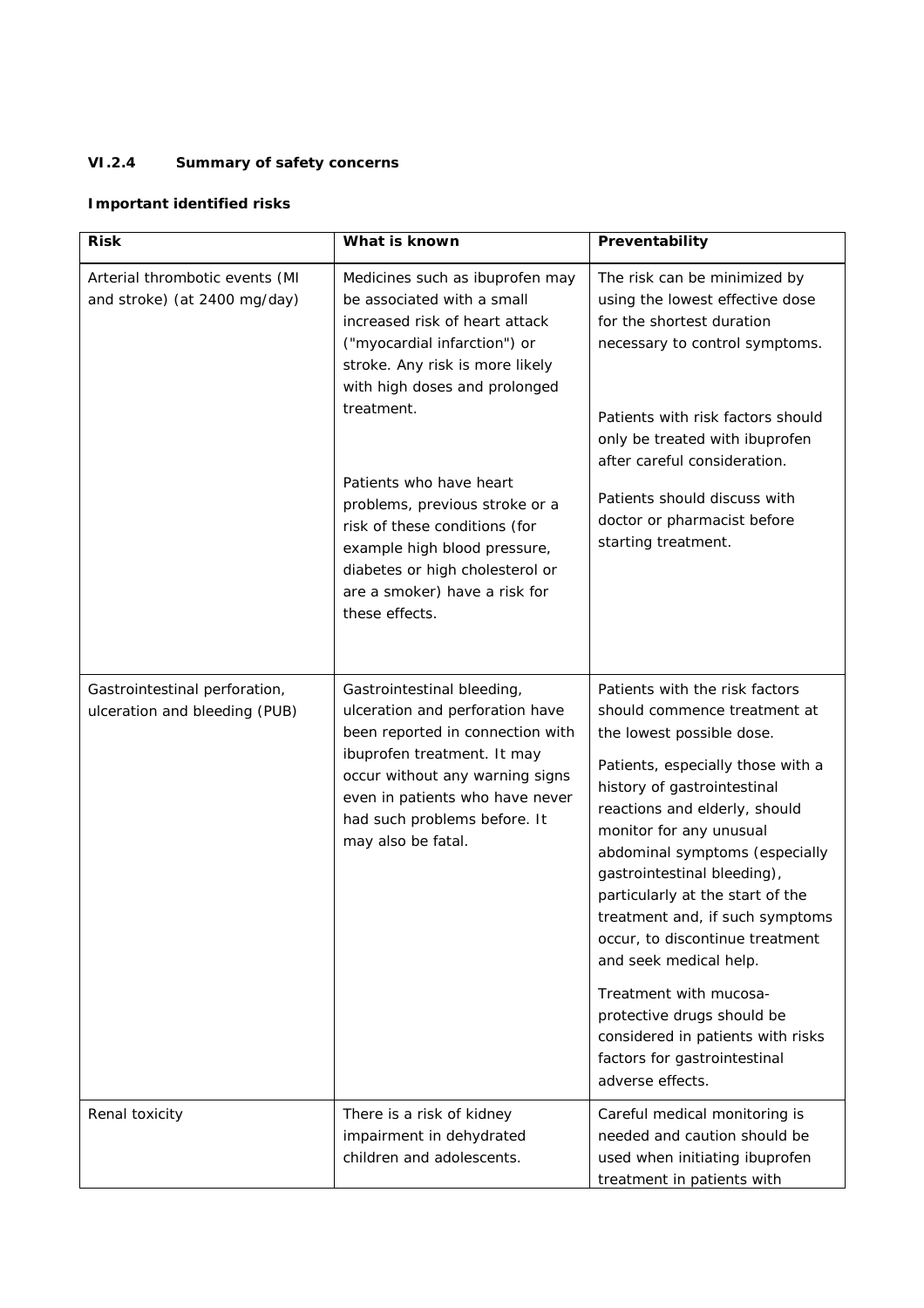# **VI.2.4 Summary of safety concerns**

# *Important identified risks*

| <b>Risk</b>                                                    | What is known                                                                                                                                                                                                                                                                                                                                                                                                                         | Preventability                                                                                                                                                                                                                                                                                                                                                                                                                                                                                                                                                                    |
|----------------------------------------------------------------|---------------------------------------------------------------------------------------------------------------------------------------------------------------------------------------------------------------------------------------------------------------------------------------------------------------------------------------------------------------------------------------------------------------------------------------|-----------------------------------------------------------------------------------------------------------------------------------------------------------------------------------------------------------------------------------------------------------------------------------------------------------------------------------------------------------------------------------------------------------------------------------------------------------------------------------------------------------------------------------------------------------------------------------|
| Arterial thrombotic events (MI<br>and stroke) (at 2400 mg/day) | Medicines such as ibuprofen may<br>be associated with a small<br>increased risk of heart attack<br>("myocardial infarction") or<br>stroke. Any risk is more likely<br>with high doses and prolonged<br>treatment.<br>Patients who have heart<br>problems, previous stroke or a<br>risk of these conditions (for<br>example high blood pressure,<br>diabetes or high cholesterol or<br>are a smoker) have a risk for<br>these effects. | The risk can be minimized by<br>using the lowest effective dose<br>for the shortest duration<br>necessary to control symptoms.<br>Patients with risk factors should<br>only be treated with ibuprofen<br>after careful consideration.<br>Patients should discuss with<br>doctor or pharmacist before<br>starting treatment.                                                                                                                                                                                                                                                       |
| Gastrointestinal perforation,<br>ulceration and bleeding (PUB) | Gastrointestinal bleeding,<br>ulceration and perforation have<br>been reported in connection with<br>ibuprofen treatment. It may<br>occur without any warning signs<br>even in patients who have never<br>had such problems before. It<br>may also be fatal.                                                                                                                                                                          | Patients with the risk factors<br>should commence treatment at<br>the lowest possible dose.<br>Patients, especially those with a<br>history of gastrointestinal<br>reactions and elderly, should<br>monitor for any unusual<br>abdominal symptoms (especially<br>gastrointestinal bleeding),<br>particularly at the start of the<br>treatment and, if such symptoms<br>occur, to discontinue treatment<br>and seek medical help.<br>Treatment with mucosa-<br>protective drugs should be<br>considered in patients with risks<br>factors for gastrointestinal<br>adverse effects. |
| Renal toxicity                                                 | There is a risk of kidney<br>impairment in dehydrated<br>children and adolescents.                                                                                                                                                                                                                                                                                                                                                    | Careful medical monitoring is<br>needed and caution should be<br>used when initiating ibuprofen<br>treatment in patients with                                                                                                                                                                                                                                                                                                                                                                                                                                                     |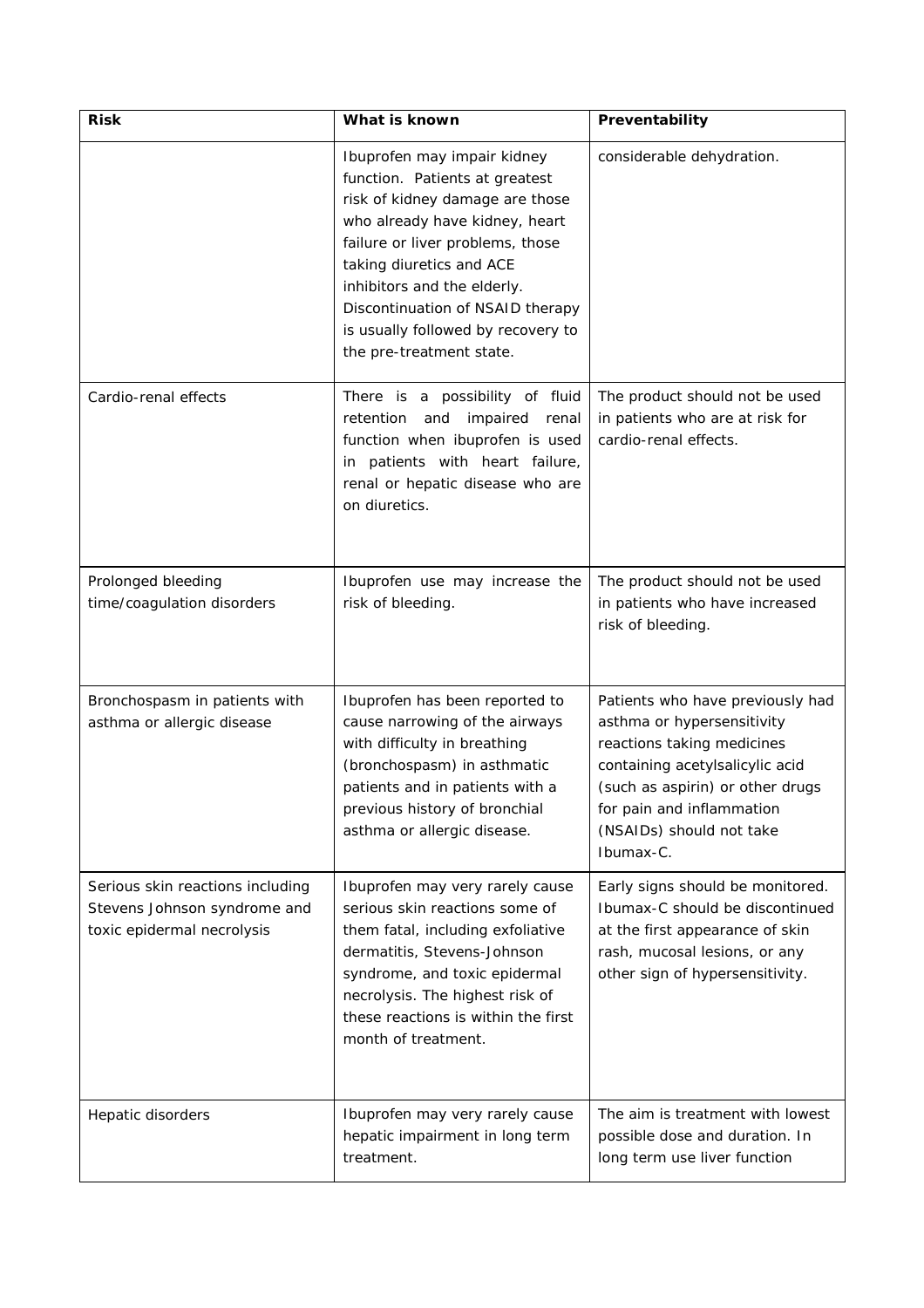| <b>Risk</b>                                                                                    | What is known                                                                                                                                                                                                                                                                                                                           | Preventability                                                                                                                                                                                                                            |
|------------------------------------------------------------------------------------------------|-----------------------------------------------------------------------------------------------------------------------------------------------------------------------------------------------------------------------------------------------------------------------------------------------------------------------------------------|-------------------------------------------------------------------------------------------------------------------------------------------------------------------------------------------------------------------------------------------|
|                                                                                                | Ibuprofen may impair kidney<br>function. Patients at greatest<br>risk of kidney damage are those<br>who already have kidney, heart<br>failure or liver problems, those<br>taking diuretics and ACE<br>inhibitors and the elderly.<br>Discontinuation of NSAID therapy<br>is usually followed by recovery to<br>the pre-treatment state. | considerable dehydration.                                                                                                                                                                                                                 |
| Cardio-renal effects                                                                           | There is a possibility of fluid<br>impaired renal<br>retention and<br>function when ibuprofen is used<br>in patients with heart failure,<br>renal or hepatic disease who are<br>on diuretics.                                                                                                                                           | The product should not be used<br>in patients who are at risk for<br>cardio-renal effects.                                                                                                                                                |
| Prolonged bleeding<br>time/coagulation disorders                                               | Ibuprofen use may increase the<br>risk of bleeding.                                                                                                                                                                                                                                                                                     | The product should not be used<br>in patients who have increased<br>risk of bleeding.                                                                                                                                                     |
| Bronchospasm in patients with<br>asthma or allergic disease                                    | Ibuprofen has been reported to<br>cause narrowing of the airways<br>with difficulty in breathing<br>(bronchospasm) in asthmatic<br>patients and in patients with a<br>previous history of bronchial<br>asthma or allergic disease.                                                                                                      | Patients who have previously had<br>asthma or hypersensitivity<br>reactions taking medicines<br>containing acetylsalicylic acid<br>(such as aspirin) or other drugs<br>for pain and inflammation<br>(NSAIDs) should not take<br>Ibumax-C. |
| Serious skin reactions including<br>Stevens Johnson syndrome and<br>toxic epidermal necrolysis | Ibuprofen may very rarely cause<br>serious skin reactions some of<br>them fatal, including exfoliative<br>dermatitis, Stevens-Johnson<br>syndrome, and toxic epidermal<br>necrolysis. The highest risk of<br>these reactions is within the first<br>month of treatment.                                                                 | Early signs should be monitored.<br>Ibumax-C should be discontinued<br>at the first appearance of skin<br>rash, mucosal lesions, or any<br>other sign of hypersensitivity.                                                                |
| Hepatic disorders                                                                              | Ibuprofen may very rarely cause<br>hepatic impairment in long term<br>treatment.                                                                                                                                                                                                                                                        | The aim is treatment with lowest<br>possible dose and duration. In<br>long term use liver function                                                                                                                                        |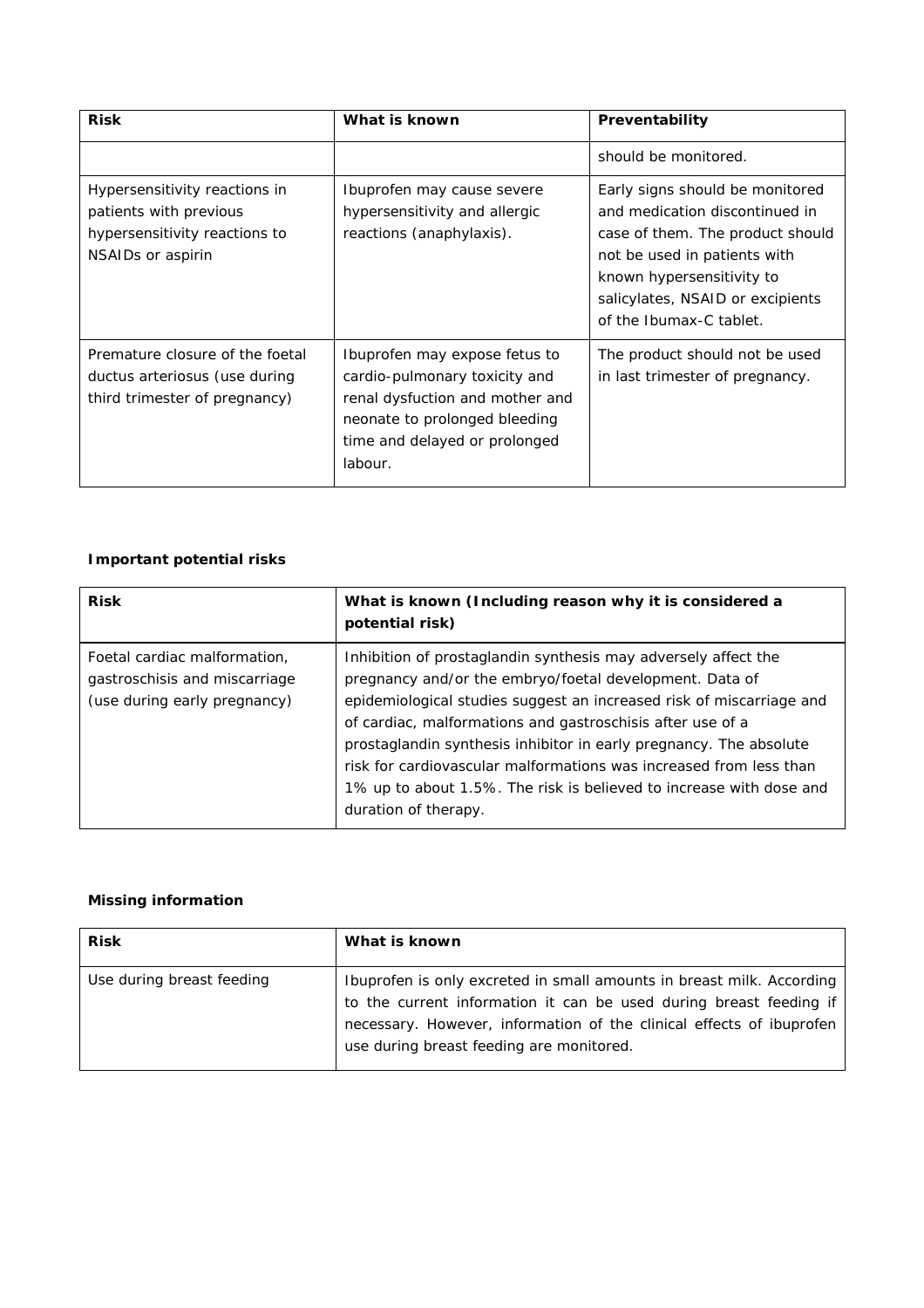| <b>Risk</b>                                                                                                   | What is known                                                                                                                                                                  | Preventability                                                                                                                                                                                                                    |
|---------------------------------------------------------------------------------------------------------------|--------------------------------------------------------------------------------------------------------------------------------------------------------------------------------|-----------------------------------------------------------------------------------------------------------------------------------------------------------------------------------------------------------------------------------|
|                                                                                                               |                                                                                                                                                                                | should be monitored.                                                                                                                                                                                                              |
| Hypersensitivity reactions in<br>patients with previous<br>hypersensitivity reactions to<br>NSAIDs or aspirin | Ibuprofen may cause severe<br>hypersensitivity and allergic<br>reactions (anaphylaxis).                                                                                        | Early signs should be monitored<br>and medication discontinued in<br>case of them. The product should<br>not be used in patients with<br>known hypersensitivity to<br>salicylates, NSAID or excipients<br>of the Ibumax-C tablet. |
| Premature closure of the foetal<br>ductus arteriosus (use during<br>third trimester of pregnancy)             | Ibuprofen may expose fetus to<br>cardio-pulmonary toxicity and<br>renal dysfuction and mother and<br>neonate to prolonged bleeding<br>time and delayed or prolonged<br>labour. | The product should not be used<br>in last trimester of pregnancy.                                                                                                                                                                 |

# *Important potential risks*

| <b>Risk</b>                                                                                   | What is known (Including reason why it is considered a<br>potential risk)                                                                                                                                                                                                                                                                                                                                                                                                                                  |
|-----------------------------------------------------------------------------------------------|------------------------------------------------------------------------------------------------------------------------------------------------------------------------------------------------------------------------------------------------------------------------------------------------------------------------------------------------------------------------------------------------------------------------------------------------------------------------------------------------------------|
| Foetal cardiac malformation,<br>gastroschisis and miscarriage<br>(use during early pregnancy) | Inhibition of prostaglandin synthesis may adversely affect the<br>pregnancy and/or the embryo/foetal development. Data of<br>epidemiological studies suggest an increased risk of miscarriage and<br>of cardiac, malformations and gastroschisis after use of a<br>prostaglandin synthesis inhibitor in early pregnancy. The absolute<br>risk for cardiovascular malformations was increased from less than<br>1% up to about 1.5%. The risk is believed to increase with dose and<br>duration of therapy. |

## *Missing information*

| <b>Risk</b>               | What is known                                                                                                                                                                                                                                                   |
|---------------------------|-----------------------------------------------------------------------------------------------------------------------------------------------------------------------------------------------------------------------------------------------------------------|
| Use during breast feeding | Ibuprofen is only excreted in small amounts in breast milk. According<br>to the current information it can be used during breast feeding if<br>necessary. However, information of the clinical effects of ibuprofen<br>use during breast feeding are monitored. |